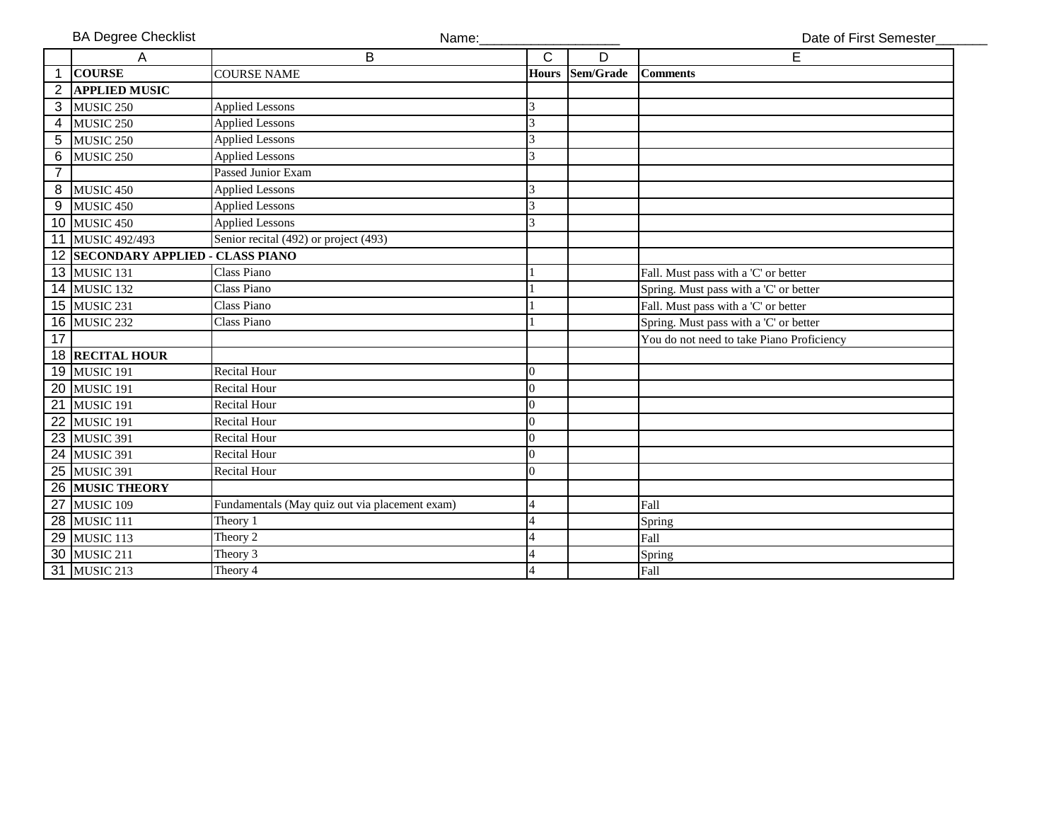|  |  |  | <b>BA Degree Checklist</b> |
|--|--|--|----------------------------|
|--|--|--|----------------------------|

Name: Name: Name: Name: Name: Name: Name: Name: Name: National Date of First Semester

|                | А                                  | В                                              | C              | D         | Е                                         |
|----------------|------------------------------------|------------------------------------------------|----------------|-----------|-------------------------------------------|
|                | <b>COURSE</b>                      | <b>COURSE NAME</b>                             | Hours          | Sem/Grade | <b>Comments</b>                           |
| 2              | <b>APPLIED MUSIC</b>               |                                                |                |           |                                           |
| $\overline{3}$ | MUSIC <sub>250</sub>               | <b>Applied Lessons</b>                         | 3              |           |                                           |
| 4              | MUSIC <sub>250</sub>               | <b>Applied Lessons</b>                         | 3              |           |                                           |
| 5              | MUSIC <sub>250</sub>               | <b>Applied Lessons</b>                         | 3              |           |                                           |
| 6              | MUSIC <sub>250</sub>               | <b>Applied Lessons</b>                         | 3              |           |                                           |
| $\overline{7}$ |                                    | Passed Junior Exam                             |                |           |                                           |
| 8              | MUSIC <sub>450</sub>               | <b>Applied Lessons</b>                         | 3              |           |                                           |
| 9              | MUSIC <sub>450</sub>               | <b>Applied Lessons</b>                         | 3              |           |                                           |
|                | 10 MUSIC 450                       | <b>Applied Lessons</b>                         | 3              |           |                                           |
| 11             | MUSIC 492/493                      | Senior recital (492) or project (493)          |                |           |                                           |
|                | 12 SECONDARY APPLIED - CLASS PIANO |                                                |                |           |                                           |
|                | 13 MUSIC 131                       | Class Piano                                    |                |           | Fall. Must pass with a 'C' or better      |
|                | 14 MUSIC 132                       | Class Piano                                    |                |           | Spring. Must pass with a 'C' or better    |
|                | 15 MUSIC 231                       | Class Piano                                    |                |           | Fall. Must pass with a 'C' or better      |
|                | <b>16 MUSIC 232</b>                | Class Piano                                    |                |           | Spring. Must pass with a 'C' or better    |
| 17             |                                    |                                                |                |           | You do not need to take Piano Proficiency |
|                | <b>18 RECITAL HOUR</b>             |                                                |                |           |                                           |
|                | 19 MUSIC 191                       | <b>Recital Hour</b>                            | $\overline{0}$ |           |                                           |
|                | 20 MUSIC 191                       | <b>Recital Hour</b>                            | $\Omega$       |           |                                           |
|                | 21 MUSIC 191                       | <b>Recital Hour</b>                            | $\overline{0}$ |           |                                           |
| 22             | MUSIC 191                          | <b>Recital Hour</b>                            | $\overline{0}$ |           |                                           |
|                | 23 MUSIC 391                       | <b>Recital Hour</b>                            | $\overline{0}$ |           |                                           |
|                | 24 MUSIC 391                       | <b>Recital Hour</b>                            | $\overline{0}$ |           |                                           |
|                | 25 MUSIC 391                       | <b>Recital Hour</b>                            | $\Omega$       |           |                                           |
|                | 26 MUSIC THEORY                    |                                                |                |           |                                           |
|                | 27 MUSIC 109                       | Fundamentals (May quiz out via placement exam) | $\overline{4}$ |           | Fall                                      |
|                | 28 MUSIC 111                       | Theory 1                                       |                |           | Spring                                    |
|                | 29 MUSIC 113                       | Theory 2                                       |                |           | Fall                                      |
|                | 30 MUSIC 211                       | Theory 3                                       |                |           | Spring                                    |
|                | 31 MUSIC 213                       | Theory 4                                       | 4              |           | Fall                                      |